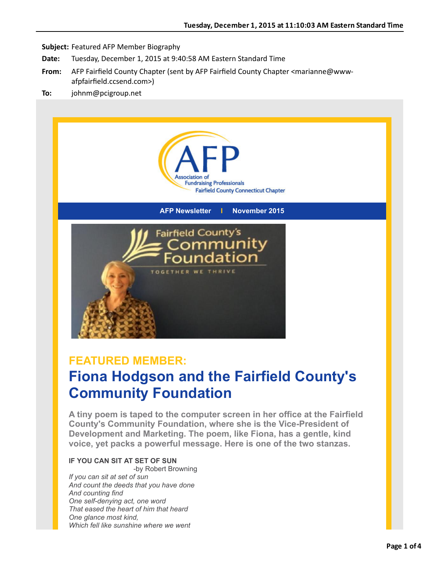

**AFP Newsletter I November 2015**



## **FEATURED MEMBER:**

# **Fiona Hodgson and the Fairfield County's Community Foundation**

**A tiny poem is taped to the computer screen in her office at the Fairfield County's Community Foundation, where she is the Vice-President of Development and Marketing. The poem, like Fiona, has a gentle, kind voice, yet packs a powerful message. Here is one of the two stanzas.**

### **IF YOU CAN SIT AT SET OF SUN**

-by Robert Browning *If you can sit at set of sun And count the deeds that you have done And counting find One self-denying act, one word That eased the heart of him that heard One glance most kind, Which fell like sunshine where we went*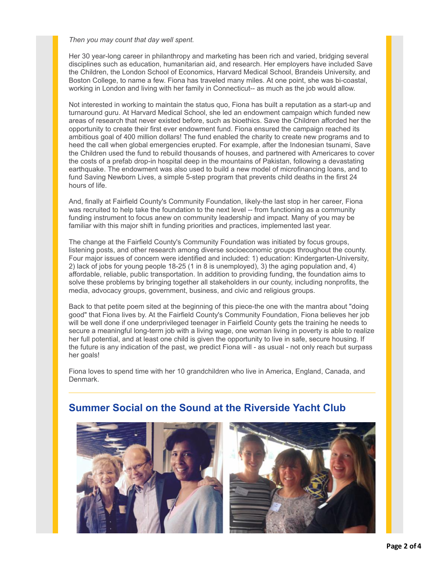### *Then you may count that day well spent.*

Her 30 year-long career in philanthropy and marketing has been rich and varied, bridging several disciplines such as education, humanitarian aid, and research. Her employers have included Save the Children, the London School of Economics, Harvard Medical School, Brandeis University, and Boston College, to name a few. Fiona has traveled many miles. At one point, she was bi-coastal, working in London and living with her family in Connecticut-- as much as the job would allow.

Not interested in working to maintain the status quo, Fiona has built a reputation as a start-up and turnaround guru. At Harvard Medical School, she led an endowment campaign which funded new areas of research that never existed before, such as bioethics. Save the Children afforded her the opportunity to create their first ever endowment fund. Fiona ensured the campaign reached its ambitious goal of 400 million dollars! The fund enabled the charity to create new programs and to heed the call when global emergencies erupted. For example, after the Indonesian tsunami, Save the Children used the fund to rebuild thousands of houses, and partnered with Americares to cover the costs of a prefab drop-in hospital deep in the mountains of Pakistan, following a devastating earthquake. The endowment was also used to build a new model of microfinancing loans, and to fund Saving Newborn Lives, a simple 5-step program that prevents child deaths in the first 24 hours of life.

And, finally at Fairfield County's Community Foundation, likely-the last stop in her career, Fiona was recruited to help take the foundation to the next level -- from functioning as a community funding instrument to focus anew on community leadership and impact. Many of you may be familiar with this major shift in funding priorities and practices, implemented last year.

The change at the Fairfield County's Community Foundation was initiated by focus groups, listening posts, and other research among diverse socioeconomic groups throughout the county. Four major issues of concern were identified and included: 1) education: Kindergarten-University, 2) lack of jobs for young people 18-25 (1 in 8 is unemployed), 3) the aging population and, 4) affordable, reliable, public transportation. In addition to providing funding, the foundation aims to solve these problems by bringing together all stakeholders in our county, including nonprofits, the media, advocacy groups, government, business, and civic and religious groups.

Back to that petite poem sited at the beginning of this piece-the one with the mantra about "doing good" that Fiona lives by. At the Fairfield County's Community Foundation, Fiona believes her job will be well done if one underprivileged teenager in Fairfield County gets the training he needs to secure a meaningful long-term job with a living wage, one woman living in poverty is able to realize her full potential, and at least one child is given the opportunity to live in safe, secure housing. If the future is any indication of the past, we predict Fiona will - as usual - not only reach but surpass her goals!

Fiona loves to spend time with her 10 grandchildren who live in America, England, Canada, and Denmark.



### **Summer Social on the Sound at the Riverside Yacht Club**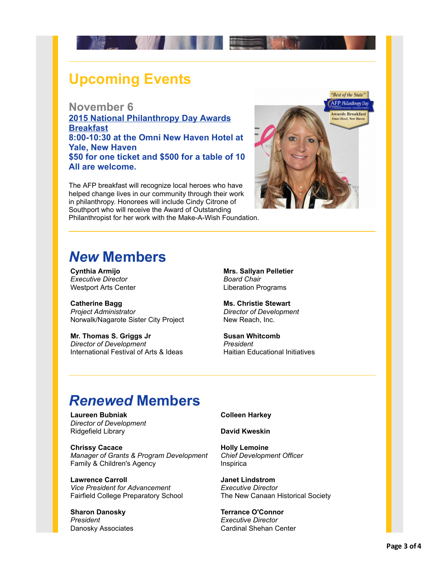

# **Upcoming Events**

### **November 6**

**[2015 National Philanthropy Day Awards](http://r20.rs6.net/tn.jsp?e=001ZFFB2d4Sa-GwMIvboZa9sGJzMGc-ohyiL7j1qhCIySm4nVaEaiGGPuSBME8atXJdcyV0UvvRz1oDxNdb6-8UFCR6swYHBZgyAY6EQGhMiS0WY9znHWyJXI-pGkffTIgIa1Xr98phpyfLVtskVcMl0giN8KbZk2r-xJWu7EkcFRgJWYNf6TrSsWgSVdao1YQYqLFQORdwiw07SBt4YzzlNQ==) Breakfast 8:00-10:30 at the Omni New Haven Hotel at Yale, New Haven \$50 for one ticket and \$500 for a table of 10 All are welcome.**

The AFP breakfast will recognize local heroes who have helped change lives in our community through their work in philanthropy. Honorees will include Cindy Citrone of Southport who will receive the Award of Outstanding Philanthropist for her work with the Make-A-Wish Foundation.



# *New* **Members**

**Cynthia Armijo** *Executive Director* Westport Arts Center

**Catherine Bagg** *Project Administrator* Norwalk/Nagarote Sister City Project

**Mr. Thomas S. Griggs Jr** *Director of Development* International Festival of Arts & Ideas

**Mrs. Sallyan Pelletier** *Board Chair* Liberation Programs

**Ms. Christie Stewart** *Director of Development* New Reach, Inc.

**Susan Whitcomb** *President* Haitian Educational Initiatives

# *Renewed* **Members**

**Laureen Bubniak** *Director of Development* Ridgefield Library

**Chrissy Cacace** *Manager of Grants & Program Development* Family & Children's Agency

**Lawrence Carroll** *Vice President for Advancement* Fairfield College Preparatory School

**Sharon Danosky** *President* Danosky Associates **Colleen Harkey**

**David Kweskin**

**Holly Lemoine** *Chief Development Officer* Inspirica

**Janet Lindstrom** *Executive Director* The New Canaan Historical Society

**Terrance O'Connor** *Executive Director* Cardinal Shehan Center